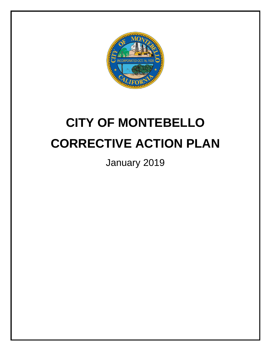

# **CITY OF MONTEBELLO CORRECTIVE ACTION PLAN**

January 2019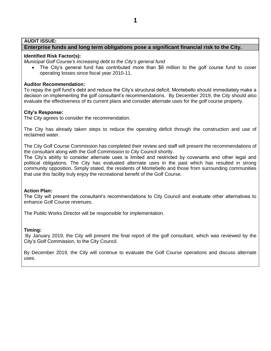## **AUDIT ISSUE:**

# **Enterprise funds and long term obligations pose a significant financial risk to the City.**

## **Identified Risk Factor(s):**

*Municipal Golf Course's increasing debt to the City's general fund*

• The City's general fund has contributed more than \$6 million to the golf course fund to cover operating losses since fiscal year 2010-11.

## **Auditor Recommendation:**

To repay the golf fund's debt and reduce the City's structural deficit, Montebello should immediately make a decision on implementing the golf consultant's recommendations. By December 2019, the City should also evaluate the effectiveness of its current plans and consider alternate uses for the golf course property.

## **City's Response:**

The City agrees to consider the recommendation.

The City has already taken steps to reduce the operating deficit through the construction and use of reclaimed water.

The City Golf Course Commission has completed their review and staff will present the recommendations of the consultant along with the Golf Commission to City Council shortly.

The City's ability to consider alternate uses is limited and restricted by covenants and other legal and political obligations. The City has evaluated alternate uses in the past which has resulted in strong community opposition. Simply stated, the residents of Montebello and those from surrounding communities that use this facility truly enjoy the recreational benefit of the Golf Course.

#### **Action Plan:**

The City will present the consultant's recommendations to City Council and evaluate other alternatives to enhance Golf Course revenues.

The Public Works Director will be responsible for implementation.

#### **Timing:**

By January 2019, the City will present the final report of the golf consultant, which was reviewed by the City's Golf Commission, to the City Council.

By December 2019, the City will continue to evaluate the Golf Course operations and discuss alternate uses.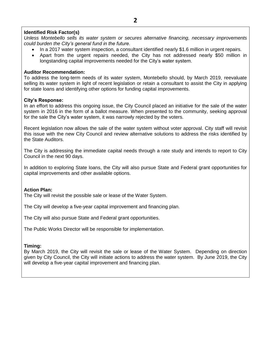*Unless Montebello sells its water system or secures alternative financing, necessary improvements could burden the City's general fund in the future.*

- In a 2017 water system inspection, a consultant identified nearly \$1.6 million in urgent repairs.
- Apart from the urgent repairs needed, the City has not addressed nearly \$50 million in longstanding capital improvements needed for the City's water system.

# **Auditor Recommendation:**

To address the long-term needs of its water system, Montebello should, by March 2019, reevaluate selling its water system in light of recent legislation or retain a consultant to assist the City in applying for state loans and identifying other options for funding capital improvements.

# **City's Response:**

In an effort to address this ongoing issue, the City Council placed an initiative for the sale of the water system in 2016 in the form of a ballot measure. When presented to the community, seeking approval for the sale the City's water system, it was narrowly rejected by the voters.

Recent legislation now allows the sale of the water system without voter approval. City staff will revisit this issue with the new City Council and review alternative solutions to address the risks identified by the State Auditors.

The City is addressing the immediate capital needs through a rate study and intends to report to City Council in the next 90 days.

In addition to exploring State loans, the City will also pursue State and Federal grant opportunities for capital improvements and other available options.

## **Action Plan:**

The City will revisit the possible sale or lease of the Water System.

The City will develop a five-year capital improvement and financing plan.

The City will also pursue State and Federal grant opportunities.

The Public Works Director will be responsible for implementation.

# **Timing:**

By March 2019, the City will revisit the sale or lease of the Water System. Depending on direction given by City Council, the City will initiate actions to address the water system. By June 2019, the City will develop a five-year capital improvement and financing plan.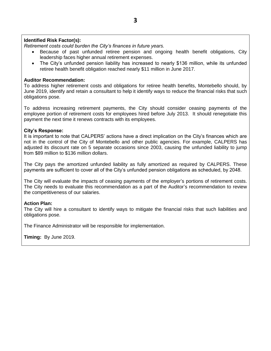*Retirement costs could burden the City's finances in future years.*

- Because of past unfunded retiree pension and ongoing health benefit obligations, City leadership faces higher annual retirement expenses.
- The City's unfunded pension liability has increased to nearly \$136 million, while its unfunded retiree health benefit obligation reached nearly \$11 million in June 2017.

## **Auditor Recommendation:**

To address higher retirement costs and obligations for retiree health benefits, Montebello should, by June 2019, identify and retain a consultant to help it identify ways to reduce the financial risks that such obligations pose.

To address increasing retirement payments, the City should consider ceasing payments of the employee portion of retirement costs for employees hired before July 2013. It should renegotiate this payment the next time it renews contracts with its employees.

## **City's Response:**

It is important to note that CALPERS' actions have a direct implication on the City's finances which are not in the control of the City of Montebello and other public agencies. For example, CALPERS has adjusted its discount rate on 5 separate occasions since 2003, causing the unfunded liability to jump from \$89 million to \$136 million dollars.

The City pays the amortized unfunded liability as fully amortized as required by CALPERS. These payments are sufficient to cover all of the City's unfunded pension obligations as scheduled, by 2048.

The City will evaluate the impacts of ceasing payments of the employer's portions of retirement costs. The City needs to evaluate this recommendation as a part of the Auditor's recommendation to review the competitiveness of our salaries.

#### **Action Plan:**

The City will hire a consultant to identify ways to mitigate the financial risks that such liabilities and obligations pose.

The Finance Administrator will be responsible for implementation.

**Timing:** By June 2019.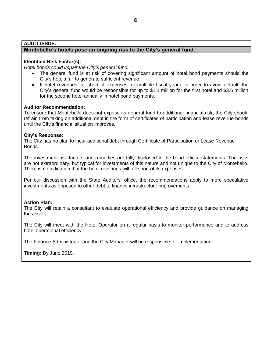## **AUDIT ISSUE:**

# **Montebello's hotels pose an ongoing risk to the City's general fund.**

## **Identified Risk Factor(s):**

*Hotel bonds could impair the City's general fund.*

- The general fund is at risk of covering significant amount of hotel bond payments should the City's hotels fail to generate sufficient revenue.
- If hotel revenues fall short of expenses for multiple fiscal years, in order to avoid default, the City's general fund would be responsible for up to \$1.1 million for the first hotel and \$3.6 million for the second hotel annually in hotel bond payments.

## **Auditor Recommendation:**

To ensure that Montebello does not expose its general fund to additional financial risk, the City should refrain from taking on additional debt in the form of certificates of participation and lease revenue bonds until the City's financial situation improves.

## **City's Response:**

The City has no plan to incur additional debt through Certificate of Participation or Lease Revenue Bonds.

The investment risk factors and remedies are fully disclosed in the bond official statements. The risks are not extraordinary, but typical for investments of this nature and not unique to the City of Montebello. There is no indication that the hotel revenues will fall short of its expenses.

Per our discussion with the State Auditors' office, the recommendations apply to more speculative investments as opposed to other debt to finance infrastructure improvements.

## **Action Plan:**

The City will retain a consultant to evaluate operational efficiency and provide guidance on managing the assets.

The City will meet with the Hotel Operator on a regular basis to monitor performance and to address hotel operational efficiency.

The Finance Administrator and the City Manager will be responsible for implementation.

**Timing:** By June 2019.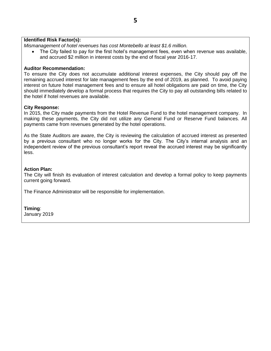# **5**

## **Identified Risk Factor(s):**

*Mismanagement of hotel revenues has cost Montebello at least \$1.6 million.*

 The City failed to pay for the first hotel's management fees, even when revenue was available, and accrued \$2 million in interest costs by the end of fiscal year 2016-17.

## **Auditor Recommendation:**

To ensure the City does not accumulate additional interest expenses, the City should pay off the remaining accrued interest for late management fees by the end of 2019, as planned. To avoid paying interest on future hotel management fees and to ensure all hotel obligations are paid on time, the City should immediately develop a formal process that requires the City to pay all outstanding bills related to the hotel if hotel revenues are available.

## **City Response:**

In 2015, the City made payments from the Hotel Revenue Fund to the hotel management company. In making these payments, the City did not utilize any General Fund or Reserve Fund balances. All payments came from revenues generated by the hotel operations.

As the State Auditors are aware, the City is reviewing the calculation of accrued interest as presented by a previous consultant who no longer works for the City. The City's internal analysis and an independent review of the previous consultant's report reveal the accrued interest may be significantly less.

## **Action Plan:**

The City will finish its evaluation of interest calculation and develop a formal policy to keep payments current going forward.

The Finance Administrator will be responsible for implementation.

## **Timing**:

January 2019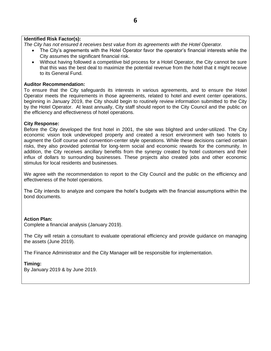*The City has not ensured it receives best value from its agreements with the Hotel Operator.*

- The City's agreements with the Hotel Operator favor the operator's financial interests while the City assumes the significant financial risk.
- Without having followed a competitive bid process for a Hotel Operator, the City cannot be sure that this was the best deal to maximize the potential revenue from the hotel that it might receive to its General Fund.

# **Auditor Recommendation:**

To ensure that the City safeguards its interests in various agreements, and to ensure the Hotel Operator meets the requirements in those agreements, related to hotel and event center operations, beginning in January 2019, the City should begin to routinely review information submitted to the City by the Hotel Operator. At least annually, City staff should report to the City Council and the public on the efficiency and effectiveness of hotel operations.

# **City Response:**

Before the City developed the first hotel in 2001, the site was blighted and under-utilized. The City economic vision took undeveloped property and created a resort environment with two hotels to augment the Golf course and convention-center style operations. While these decisions carried certain risks, they also provided potential for long-term social and economic rewards for the community. In addition, the City receives ancillary benefits from the synergy created by hotel customers and their influx of dollars to surrounding businesses. These projects also created jobs and other economic stimulus for local residents and businesses.

We agree with the recommendation to report to the City Council and the public on the efficiency and effectiveness of the hotel operations.

The City intends to analyze and compare the hotel's budgets with the financial assumptions within the bond documents.

# **Action Plan:**

Complete a financial analysis (January 2019).

The City will retain a consultant to evaluate operational efficiency and provide guidance on managing the assets (June 2019).

The Finance Administrator and the City Manager will be responsible for implementation.

# **Timing:**

By January 2019 & by June 2019.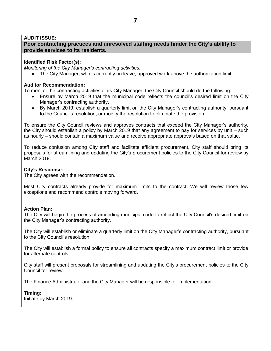## **AUDIT ISSUE:**

**Poor contracting practices and unresolved staffing needs hinder the City's ability to provide services to its residents.** 

## **Identified Risk Factor(s):**

*Monitoring of the City Manager's contracting activities.*

The City Manager, who is currently on leave, approved work above the authorization limit.

## **Auditor Recommendation:**

To monitor the contracting activities of its City Manager, the City Council should do the following:

- Ensure by March 2019 that the municipal code reflects the council's desired limit on the City Manager's contracting authority.
- By March 2019, establish a quarterly limit on the City Manager's contracting authority, pursuant to the Council's resolution, or modify the resolution to eliminate the provision.

To ensure the City Council reviews and approves contracts that exceed the City Manager's authority, the City should establish a policy by March 2019 that any agreement to pay for services by unit – such as hourly – should contain a maximum value and receive appropriate approvals based on that value.

To reduce confusion among City staff and facilitate efficient procurement, City staff should bring its proposals for streamlining and updating the City's procurement policies to the City Council for review by March 2019.

## **City's Response:**

The City agrees with the recommendation.

Most City contracts already provide for maximum limits to the contract. We will review those few exceptions and recommend controls moving forward.

## **Action Plan:**

The City will begin the process of amending municipal code to reflect the City Council's desired limit on the City Manager's contracting authority.

The City will establish or eliminate a quarterly limit on the City Manager's contracting authority, pursuant to the City Council's resolution.

The City will establish a formal policy to ensure all contracts specify a maximum contract limit or provide for alternate controls.

City staff will present proposals for streamlining and updating the City's procurement policies to the City Council for review.

The Finance Administrator and the City Manager will be responsible for implementation.

**Timing:**  Initiate by March 2019.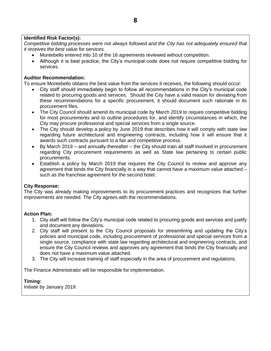*Competitive bidding processes were not always followed and the City has not adequately ensured that it receives the best value for services.*

- Montebello entered into 10 of the 16 agreements reviewed without competition.
- Although it is best practice, the City's municipal code does not require competitive bidding for services.

# **Auditor Recommendation:**

To ensure Montebello obtains the best value from the services it receives, the following should occur:

- City staff should immediately begin to follow all recommendations in the City's municipal code related to procuring goods and services. Should the City have a valid reason for deviating from these recommendations for a specific procurement, it should document such rationale in its procurement files.
- The City Council should amend its municipal code by March 2019 to require competitive bidding for most procurements and to outline procedures for, and identify circumstances in which, the City may procure professional and special services from a single source.
- The City should develop a policy by June 2019 that describes how it will comply with state law regarding future architectural and engineering contracts, including how it will ensure that it awards such contracts pursuant to a fair and competitive process.
- By March 2019 and annually thereafter the City should train all staff involved in procurement regarding City procurement requirements as well as State law pertaining to certain public procurements.
- Establish a policy by March 2019 that requires the City Council to review and approve any agreement that binds the City financially in a way that cannot have a maximum value attached – such as the franchise agreement for the second hotel.

# **City Response:**

The City was already making improvements to its procurement practices and recognizes that further improvements are needed. The City agrees with the recommendations.

# **Action Plan:**

- 1. City staff will follow the City's municipal code related to procuring goods and services and justify and document any deviations.
- 2. City staff will present to the City Council proposals for streamlining and updating the City's policies and municipal code, including procurement of professional and special services from a single source, compliance with state law regarding architectural and engineering contracts, and ensure the City Council reviews and approves any agreement that binds the City financially and does not have a maximum value attached.
- 3. The City will increase training of staff especially in the area of procurement and regulations.

The Finance Administrator will be responsible for implementation.

# **Timing:**

Initiate by January 2019.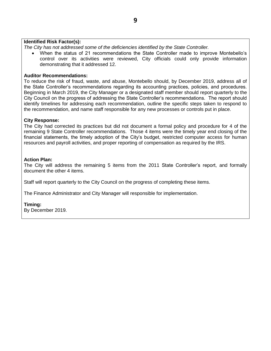*The City has not addressed some of the deficiencies identified by the State Controller.*

 When the status of 21 recommendations the State Controller made to improve Montebello's control over its activities were reviewed, City officials could only provide information demonstrating that it addressed 12.

#### **Auditor Recommendations:**

To reduce the risk of fraud, waste, and abuse, Montebello should, by December 2019, address all of the State Controller's recommendations regarding its accounting practices, policies, and procedures. Beginning in March 2019, the City Manager or a designated staff member should report quarterly to the City Council on the progress of addressing the State Controller's recommendations. The report should identify timelines for addressing each recommendation, outline the specific steps taken to respond to the recommendation, and name staff responsible for any new processes or controls put in place.

#### **City Response:**

The City had corrected its practices but did not document a formal policy and procedure for 4 of the remaining 9 State Controller recommendations. Those 4 items were the timely year end closing of the financial statements, the timely adoption of the City's budget, restricted computer access for human resources and payroll activities, and proper reporting of compensation as required by the IRS.

#### **Action Plan:**

The City will address the remaining 5 items from the 2011 State Controller's report, and formally document the other 4 items.

Staff will report quarterly to the City Council on the progress of completing these items.

The Finance Administrator and City Manager will responsible for implementation.

#### **Timing:**

By December 2019.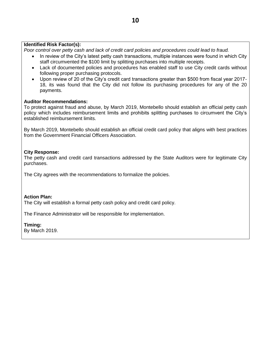*Poor control over petty cash and lack of credit card policies and procedures could lead to fraud.*

- In review of the City's latest petty cash transactions, multiple instances were found in which City staff circumvented the \$100 limit by splitting purchases into multiple receipts.
- Lack of documented policies and procedures has enabled staff to use City credit cards without following proper purchasing protocols.
- Upon review of 20 of the City's credit card transactions greater than \$500 from fiscal year 2017- 18, its was found that the City did not follow its purchasing procedures for any of the 20 payments.

## **Auditor Recommendations:**

To protect against fraud and abuse, by March 2019, Montebello should establish an official petty cash policy which includes reimbursement limits and prohibits splitting purchases to circumvent the City's established reimbursement limits.

By March 2019, Montebello should establish an official credit card policy that aligns with best practices from the Government Financial Officers Association.

# **City Response:**

The petty cash and credit card transactions addressed by the State Auditors were for legitimate City purchases.

The City agrees with the recommendations to formalize the policies.

## **Action Plan:**

The City will establish a formal petty cash policy and credit card policy.

The Finance Administrator will be responsible for implementation.

## **Timing:**

By March 2019.